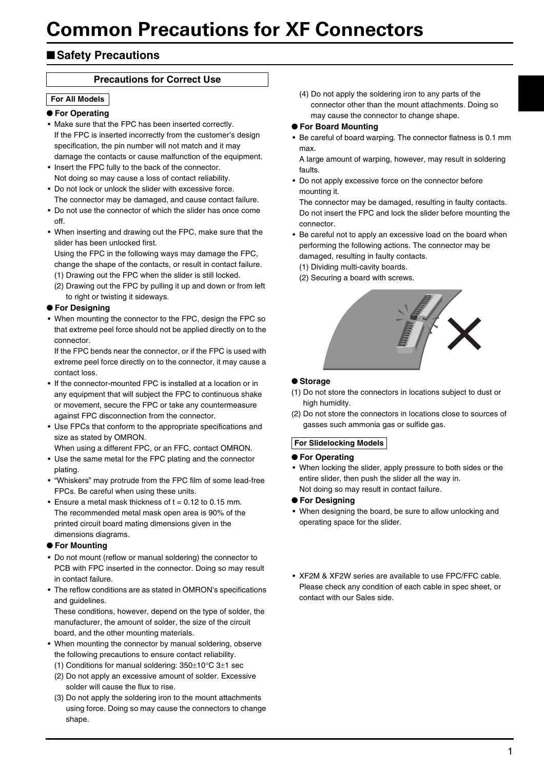# ■**Safety Precautions**

## **Precautions for Correct Use**

### **For All Models**

#### ● **For Operating**

- Make sure that the FPC has been inserted correctly. If the FPC is inserted incorrectly from the customer's design specification, the pin number will not match and it may damage the contacts or cause malfunction of the equipment.
- Insert the FPC fully to the back of the connector. Not doing so may cause a loss of contact reliability.
- Do not lock or unlock the slider with excessive force. The connector may be damaged, and cause contact failure.
- Do not use the connector of which the slider has once come off.
- When inserting and drawing out the FPC, make sure that the slider has been unlocked first.
- Using the FPC in the following ways may damage the FPC, change the shape of the contacts, or result in contact failure. (1) Drawing out the FPC when the slider is still locked.
- (2) Drawing out the FPC by pulling it up and down or from left
- to right or twisting it sideways.

## ● **For Designing**

• When mounting the connector to the FPC, design the FPC so that extreme peel force should not be applied directly on to the connector.

If the FPC bends near the connector, or if the FPC is used with extreme peel force directly on to the connector, it may cause a contact loss.

- If the connector-mounted FPC is installed at a location or in any equipment that will subject the FPC to continuous shake or movement, secure the FPC or take any countermeasure against FPC disconnection from the connector.
- Use FPCs that conform to the appropriate specifications and size as stated by OMRON.

When using a different FPC, or an FFC, contact OMRON.

- Use the same metal for the FPC plating and the connector plating.
- "Whiskers" may protrude from the FPC film of some lead-free FPCs. Be careful when using these units.
- Ensure a metal mask thickness of  $t = 0.12$  to 0.15 mm. The recommended metal mask open area is 90% of the printed circuit board mating dimensions given in the dimensions diagrams.

#### ● **For Mounting**

- Do not mount (reflow or manual soldering) the connector to PCB with FPC inserted in the connector. Doing so may result in contact failure.
- The reflow conditions are as stated in OMRON's specifications and guidelines.

These conditions, however, depend on the type of solder, the manufacturer, the amount of solder, the size of the circuit board, and the other mounting materials.

- When mounting the connector by manual soldering, observe the following precautions to ensure contact reliability.
	- (1) Conditions for manual soldering: 350±10°C 3±1 sec
	- (2) Do not apply an excessive amount of solder. Excessive solder will cause the flux to rise.
	- (3) Do not apply the soldering iron to the mount attachments using force. Doing so may cause the connectors to change shape.

(4) Do not apply the soldering iron to any parts of the connector other than the mount attachments. Doing so may cause the connector to change shape.

#### ● **For Board Mounting**

• Be careful of board warping. The connector flatness is 0.1 mm max.

A large amount of warping, however, may result in soldering faults.

• Do not apply excessive force on the connector before mounting it.

The connector may be damaged, resulting in faulty contacts. Do not insert the FPC and lock the slider before mounting the connector.

- Be careful not to apply an excessive load on the board when performing the following actions. The connector may be damaged, resulting in faulty contacts.
	- (1) Dividing multi-cavity boards.
	- (2) Securing a board with screws.



## ● **Storage**

- (1) Do not store the connectors in locations subject to dust or high humidity.
- (2) Do not store the connectors in locations close to sources of gasses such ammonia gas or sulfide gas.

## **For Slidelocking Models**

## ● **For Operating**

- When locking the slider, apply pressure to both sides or the entire slider, then push the slider all the way in. Not doing so may result in contact failure.
- **For Designing**
- When designing the board, be sure to allow unlocking and operating space for the slider.
- XF2M & XF2W series are available to use FPC/FFC cable. Please check any condition of each cable in spec sheet, or contact with our Sales side.